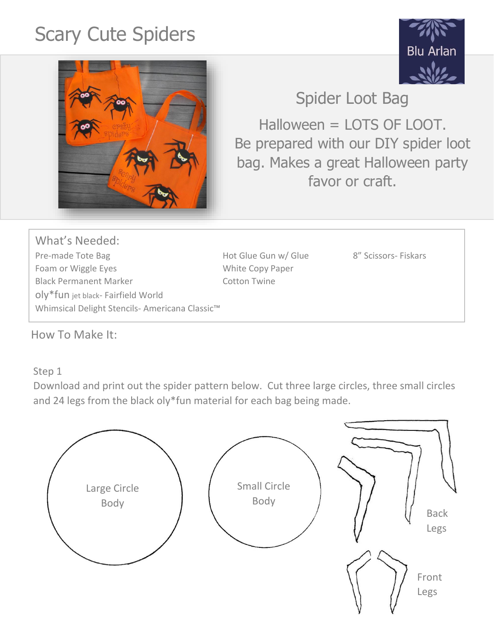## Scary Cute Spiders





Spider Loot Bag

Halloween = LOTS OF LOOT. Be prepared with our DIY spider loot bag. Makes a great Halloween party favor or craft.

What's Needed: Pre-made Tote Bag The Bag Hot Glue Gun w/ Glue 600 M 8" Scissors- Fiskars Foam or Wiggle Eyes **White Copy Paper** Black Permanent Marker Cotton Twine oly\*fun jet black- Fairfield World Whimsical Delight Stencils- Americana Classic™

How To Make It:

## Step 1

Download and print out the spider pattern below. Cut three large circles, three small circles and 24 legs from the black oly\*fun material for each bag being made.